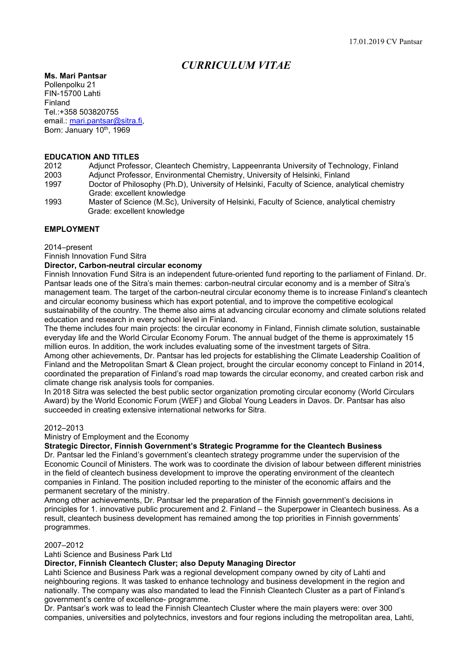# *CURRICULUM VITAE*

# **Ms. Mari Pantsar**

Pollenpolku 21 FIN-15700 Lahti Finland Tel.:+358 503820755 email.: [mari.pantsar@sitra.fi,](mailto:mari.pantsar@sitra.fi)  Born: January 10<sup>th</sup>, 1969

# **EDUCATION AND TITLES**

- 2012 Adjunct Professor, Cleantech Chemistry, Lappeenranta University of Technology, Finland
- 2003 Adjunct Professor, Environmental Chemistry, University of Helsinki, Finland<br>1997 Doctor of Philosophy (Ph.D.), University of Helsinki, Faculty of Science, analy
- Doctor of Philosophy (Ph.D), University of Helsinki, Faculty of Science, analytical chemistry Grade: excellent knowledge
- 1993 Master of Science (M.Sc), University of Helsinki, Faculty of Science, analytical chemistry Grade: excellent knowledge

# **EMPLOYMENT**

#### 2014–present

# Finnish Innovation Fund Sitra

### **Director, Carbon-neutral circular economy**

Finnish Innovation Fund Sitra is an independent future-oriented fund reporting to the parliament of Finland. Dr. Pantsar leads one of the Sitra's main themes: carbon-neutral circular economy and is a member of Sitra's management team. The target of the carbon-neutral circular economy theme is to increase Finland's cleantech and circular economy business which has export potential, and to improve the competitive ecological sustainability of the country. The theme also aims at advancing circular economy and climate solutions related education and research in every school level in Finland.

The theme includes four main projects: the circular economy in Finland, Finnish climate solution, sustainable everyday life and the World Circular Economy Forum. The annual budget of the theme is approximately 15 million euros. In addition, the work includes evaluating some of the investment targets of Sitra.

Among other achievements, Dr. Pantsar has led projects for establishing the Climate Leadership Coalition of Finland and the Metropolitan Smart & Clean project, brought the circular economy concept to Finland in 2014, coordinated the preparation of Finland's road map towards the circular economy, and created carbon risk and climate change risk analysis tools for companies.

In 2018 Sitra was selected the best public sector organization promoting circular economy (World Circulars Award) by the World Economic Forum (WEF) and Global Young Leaders in Davos. Dr. Pantsar has also succeeded in creating extensive international networks for Sitra.

# 2012–2013

#### Ministry of Employment and the Economy

**Strategic Director, Finnish Government's Strategic Programme for the Cleantech Business**

Dr. Pantsar led the Finland's government's cleantech strategy programme under the supervision of the Economic Council of Ministers. The work was to coordinate the division of labour between different ministries in the field of cleantech business development to improve the operating environment of the cleantech companies in Finland. The position included reporting to the minister of the economic affairs and the permanent secretary of the ministry.

Among other achievements, Dr. Pantsar led the preparation of the Finnish government's decisions in principles for 1. innovative public procurement and 2. Finland – the Superpower in Cleantech business. As a result, cleantech business development has remained among the top priorities in Finnish governments' programmes.

#### 2007–2012

# Lahti Science and Business Park Ltd

# **Director, Finnish Cleantech Cluster; also Deputy Managing Director**

Lahti Science and Business Park was a regional development company owned by city of Lahti and neighbouring regions. It was tasked to enhance technology and business development in the region and nationally. The company was also mandated to lead the Finnish Cleantech Cluster as a part of Finland's government's centre of excellence- programme.

Dr. Pantsar's work was to lead the Finnish Cleantech Cluster where the main players were: over 300 companies, universities and polytechnics, investors and four regions including the metropolitan area, Lahti,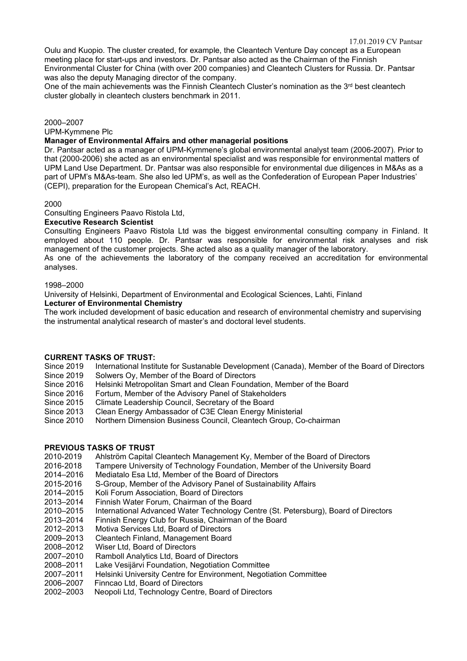17.01.2019 CV Pantsar

Oulu and Kuopio. The cluster created, for example, the Cleantech Venture Day concept as a European meeting place for start-ups and investors. Dr. Pantsar also acted as the Chairman of the Finnish Environmental Cluster for China (with over 200 companies) and Cleantech Clusters for Russia. Dr. Pantsar was also the deputy Managing director of the company.

One of the main achievements was the Finnish Cleantech Cluster's nomination as the  $3<sup>rd</sup>$  best cleantech cluster globally in cleantech clusters benchmark in 2011.

#### 2000–2007

UPM-Kymmene Plc

# **Manager of Environmental Affairs and other managerial positions**

Dr. Pantsar acted as a manager of UPM-Kymmene's global environmental analyst team (2006-2007). Prior to that (2000-2006) she acted as an environmental specialist and was responsible for environmental matters of UPM Land Use Department. Dr. Pantsar was also responsible for environmental due diligences in M&As as a part of UPM's M&As-team. She also led UPM's, as well as the Confederation of European Paper Industries' (CEPI), preparation for the European Chemical's Act, REACH.

### 2000

Consulting Engineers Paavo Ristola Ltd,

### **Executive Research Scientist**

Consulting Engineers Paavo Ristola Ltd was the biggest environmental consulting company in Finland. It employed about 110 people. Dr. Pantsar was responsible for environmental risk analyses and risk management of the customer projects. She acted also as a quality manager of the laboratory.

As one of the achievements the laboratory of the company received an accreditation for environmental analyses.

#### 1998–2000

University of Helsinki, Department of Environmental and Ecological Sciences, Lahti, Finland

# **Lecturer of Environmental Chemistry**

The work included development of basic education and research of environmental chemistry and supervising the instrumental analytical research of master's and doctoral level students.

# **CURRENT TASKS OF TRUST:**

- Since 2019 International Institute for Sustanable Development (Canada), Member of the Board of Directors<br>Since 2019 Solwers Ov. Member of the Board of Directors
- Since 2019 Solwers Oy, Member of the Board of Directors<br>Since 2016 Helsinki Metropolitan Smart and Clean Founda
- Since 2016 Helsinki Metropolitan Smart and Clean Foundation, Member of the Board<br>Since 2016 Fortum, Member of the Advisory Panel of Stakeholders
- Fortum, Member of the Advisory Panel of Stakeholders
- Since 2015 Climate Leadership Council, Secretary of the Board
- Since 2013 Clean Energy Ambassador of C3E Clean Energy Ministerial<br>Since 2010 Northern Dimension Business Council, Cleantech Group, Co
- Northern Dimension Business Council, Cleantech Group, Co-chairman

# **PREVIOUS TASKS OF TRUST**

- 2010-2019 Ahlström Capital Cleantech Management Ky, Member of the Board of Directors
- 2016-2018 Tampere University of Technology Foundation, Member of the University Board
- Mediatalo Esa Ltd, Member of the Board of Directors
- 2015-2016 S-Group, Member of the Advisory Panel of Sustainability Affairs
- 2014–2015 Koli Forum Association, Board of Directors
- 2013–2014 Finnish Water Forum, Chairman of the Board
- 2010–2015 International Advanced Water Technology Centre (St. Petersburg), Board of Directors<br>2013–2014 Finnish Energy Club for Russia, Chairman of the Board
- 2013–2014 Finnish Energy Club for Russia, Chairman of the Board
- 2012–2013 Motiva Services Ltd, Board of Directors
- 2009–2013 Cleantech Finland, Management Board
- 2008–2012 Wiser Ltd, Board of Directors<br>2007–2010 Ramboll Analytics Ltd. Board
- Ramboll Analytics Ltd, Board of Directors
- 2008–2011 Lake Vesijärvi Foundation, Negotiation Committee
- **Helsinki University Centre for Environment, Negotiation Committee**
- 2006–2007 Finncao Ltd, Board of Directors
- 2002–2003 Neopoli Ltd, Technology Centre, Board of Directors